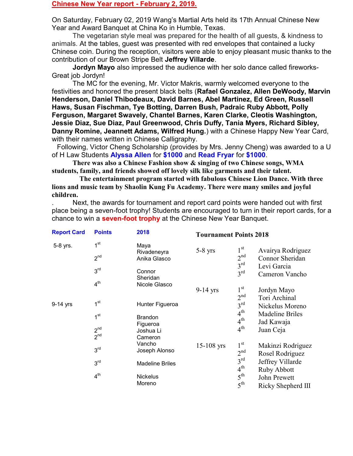## Chinese New Year report - February 2, 2019.

On Saturday, February 02, 2019 Wang's Martial Arts held its 17th Annual Chinese New Year and Award Banquet at China Ko in Humble, Texas.

 The vegetarian style meal was prepared for the health of all guests, & kindness to animals. At the tables, guest was presented with red envelopes that contained a lucky Chinese coin. During the reception, visitors were able to enjoy pleasant music thanks to the contribution of our Brown Stripe Belt Jeffrey Villarde.

Jordyn Mayo also impressed the audience with her solo dance called fireworks-Great job Jordyn!

 The MC for the evening, Mr. Victor Makris, warmly welcomed everyone to the festivities and honored the present black belts (Rafael Gonzalez, Allen DeWoody, Marvin Henderson, Daniel Thibodeaux, David Barnes, Abel Martinez, Ed Green, Russell Haws, Susan Fischman, Tye Botting, Darren Bush, Padraic Ruby Abbott, Polly Ferguson, Margaret Swavely, Chantel Barnes, Karen Clarke, Cleotis Washington, Jessie Diaz, Sue Diaz, Paul Greenwood, Chris Duffy, Tania Myers, Richard Sibley, Danny Romine, Jeannett Adams, Wilfred Hung.) with a Chinese Happy New Year Card, with their names written in Chinese Calligraphy.

 Following, Victor Cheng Scholarship (provides by Mrs. Jenny Cheng) was awarded to a U of H Law Students Alyssa Allen for \$1000 and Read Fryar for \$1000.

 There was also a Chinese Fashion show & singing of two Chinese songs, WMA students, family, and friends showed off lovely silk like garments and their talent.

 The entertainment program started with fabulous Chinese Lion Dance. With three lions and music team by Shaolin Kung Fu Academy. There were many smiles and joyful children.

. Next, the awards for tournament and report card points were handed out with first place being a seven-foot trophy! Students are encouraged to turn in their report cards, for a chance to win a **seven-foot trophy** at the Chinese New Year Banquet.

| <b>Report Card</b><br>5-8 yrs. | <b>Points</b><br>1 <sup>st</sup> | 2018<br>Maya<br>Rivadeneyra | <b>Tournament Points 2018</b> |                 |                    |
|--------------------------------|----------------------------------|-----------------------------|-------------------------------|-----------------|--------------------|
|                                |                                  |                             | $5-8$ yrs                     | $1^{\rm st}$    | Avairya Rodriguez  |
|                                | 2 <sup>nd</sup>                  | Anika Glasco                |                               | 2 <sup>nd</sup> | Connor Sheridan    |
|                                | 3 <sup>rd</sup>                  |                             |                               | $3^{\text{rd}}$ | Levi Garcia        |
|                                |                                  | Connor<br>Sheridan          |                               | $3^{\text{rd}}$ | Cameron Vancho     |
|                                | 4 <sup>th</sup>                  | Nicole Glasco               |                               |                 |                    |
|                                |                                  |                             | $9-14$ yrs                    | $1^{\rm st}$    | Jordyn Mayo        |
| 9-14 yrs                       | 1 <sup>st</sup>                  |                             |                               | 2 <sup>nd</sup> | Tori Archinal      |
|                                |                                  | Hunter Figueroa             |                               | $3^{\text{rd}}$ | Nickelus Moreno    |
|                                | 1 <sup>st</sup>                  | <b>Brandon</b>              |                               | $4^{th}$        | Madeline Briles    |
|                                |                                  | Figueroa                    |                               | $4^{\text{th}}$ | Jad Kawaja         |
|                                | 2 <sup>nd</sup>                  | Joshua Li                   |                               | $4^{\text{th}}$ | Juan Ceja          |
|                                | $2^{nd}$                         | Cameron                     |                               |                 |                    |
|                                | 3 <sup>rd</sup>                  | Vancho<br>Joseph Alonso     | $15 - 108$ yrs                | $1^{\rm st}$    | Makinzi Rodriguez  |
|                                |                                  |                             |                               | 2 <sup>nd</sup> | Rosel Rodriguez    |
|                                | 3 <sup>rd</sup>                  | <b>Madeline Briles</b>      |                               | $3^{\text{rd}}$ | Jeffrey Villarde   |
|                                |                                  |                             |                               | $4^{\text{th}}$ | Ruby Abbott        |
|                                | 4 <sup>th</sup>                  | <b>Nickelus</b>             |                               | $5^{\text{th}}$ | John Prewett       |
|                                |                                  | Moreno                      |                               | $5^{\text{th}}$ | Ricky Shepherd III |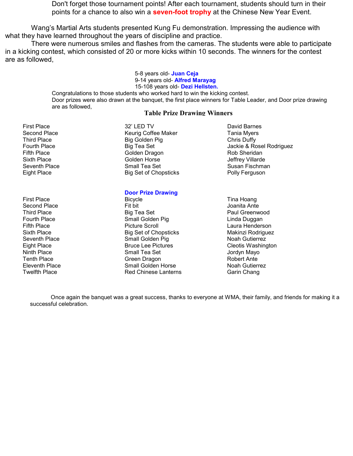Don't forget those tournament points! After each tournament, students should turn in their points for a chance to also win a **seven-foot trophy** at the Chinese New Year Event.

Wang's Martial Arts students presented Kung Fu demonstration. Impressing the audience with what they have learned throughout the years of discipline and practice.

There were numerous smiles and flashes from the cameras. The students were able to participate in a kicking contest, which consisted of 20 or more kicks within 10 seconds. The winners for the contest are as followed,

> 5-8 years old- Juan Ceja 9-14 years old- **Alfred Marayag** 15-108 years old- Dezi Hellsten.

Congratulations to those students who worked hard to win the kicking contest. Door prizes were also drawn at the banquet, the first place winners for Table Leader, and Door prize drawing are as followed,

## Table Prize Drawing Winners

First Place **32' LED TV** David Barnes

Second Place **Network** Keurig Coffee Maker **Tania Myers** Second Place Third Place **Big Golden Pig Chris Duffy Chris Duffy** Fighth Place Golden Dragon Rob Sheridan Sixth Place Golden Horse Golden Horse Jeffrey Villarde Seventh Place Somall Tea Set Susan Fischman Susan Fischman Eight Place Big Set of Chopsticks Polly Ferguson

## Door Prize Drawing

- First Place **Bicycle** Bicycle **Time Hoang** Bicycle **Time Hoang** Second Place Fit bit Joanita Ante Third Place **Big Tea Set Paul Greenwood** Big Tea Set **Paul Greenwood** Fourth Place **Small Golden Pig Linda Duggan** Controller Controller Small Golden Pig Linda Duggan Fifth Place **Picture Scroll** Provide Picture Scroll Cause Agency **Laura Henderson** Sixth Place **Big Set of Chopsticks** Makinzi Rodriguez Seventh Place **Small Golden Pig Small Golden Pig** Noah Gutierrez<br>Eight Place Server Server Bruce Lee Pictures Cleotis Washing Eight Place **Bruce Lee Pictures** Cleotis Washington Ninth Place Small Tea Set Jordyn Mayo Tenth Place **Green Dragon** Green Dragon **Green Bragon** Robert Ante Eleventh Place Small Golden Horse Noah Gutierrez Twelfth Place **Red Chinese Lanterns** Garin Chang
- Fourth Place Big Tea Set Jackie & Rosel Rodriguez

 Once again the banquet was a great success, thanks to everyone at WMA, their family, and friends for making it a successful celebration.